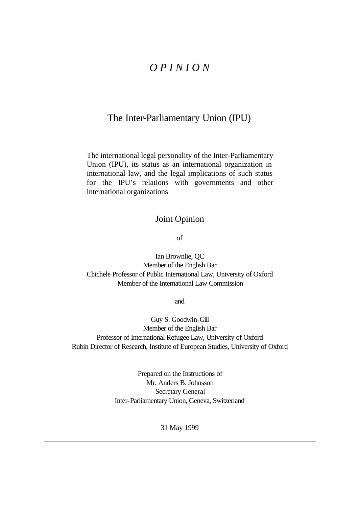# *O P I N I O N*

## The Inter-Parliamentary Union (IPU)

The international legal personality of the Inter-Parliamentary Union (IPU), its status as an international organization in international law, and the legal implications of such status for the IPU's relations with governments and other international organizations

### Joint Opinion

of

Ian Brownlie, QC Member of the English Bar Chichele Professor of Public International Law, University of Oxford Member of the International Law Commission

and

Guy S. Goodwin-Gill Member of the English Bar Professor of International Refugee Law, University of Oxford Rubin Director of Research, Institute of European Studies, University of Oxford

> Prepared on the Instructions of Mr. Anders B. Johnsson Secretary General Inter-Parliamentary Union, Geneva, Switzerland

> > 31 May 1999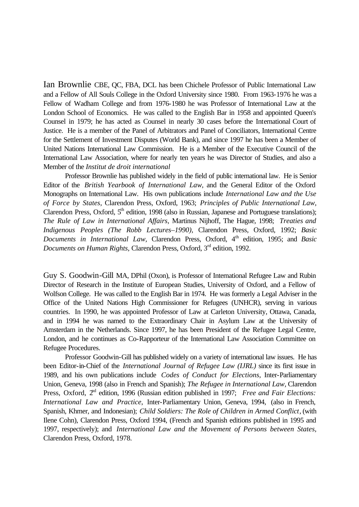Ian Brownlie CBE, QC, FBA, DCL has been Chichele Professor of Public International Law and a Fellow of All Souls College in the Oxford University since 1980. From 1963-1976 he was a Fellow of Wadham College and from 1976-1980 he was Professor of International Law at the London School of Economics. He was called to the English Bar in 1958 and appointed Queen's Counsel in 1979; he has acted as Counsel in nearly 30 cases before the International Court of Justice. He is a member of the Panel of Arbitrators and Panel of Conciliators, International Centre for the Settlement of Investment Disputes (World Bank), and since 1997 he has been a Member of United Nations International Law Commission. He is a Member of the Executive Council of the International Law Association, where for nearly ten years he was Director of Studies, and also a Member of the *Institut de droit international*

Professor Brownlie has published widely in the field of public international law. He is Senior Editor of the *British Yearbook of International Law*, and the General Editor of the Oxford Monographs on International Law. His own publications include *International Law and the Use of Force by States,* Clarendon Press, Oxford, 1963; *Principles of Public International Law,* Clarendon Press, Oxford,  $5<sup>th</sup>$  edition, 1998 (also in Russian, Japanese and Portuguese translations); *The Rule of Law in International Affairs,* Martinus Nijhoff, The Hague, 1998; *Treaties and Indigenous Peoples (The Robb Lectures–1990),* Clarendon Press, Oxford, 1992; *Basic*  Documents in International Law, Clarendon Press, Oxford, 4<sup>th</sup> edition, 1995; and *Basic Documents on Human Rights,* Clarendon Press, Oxford, 3rd edition, 1992.

Guy S. Goodwin-Gill MA, DPhil (Oxon), is Professor of International Refugee Law and Rubin Director of Research in the Institute of European Studies, University of Oxford, and a Fellow of Wolfson College. He was called to the English Bar in 1974. He was formerly a Legal Adviser in the Office of the United Nations High Commissioner for Refugees (UNHCR), serving in various countries. In 1990, he was appointed Professor of Law at Carleton University, Ottawa, Canada, and in 1994 he was named to the Extraordinary Chair in Asylum Law at the University of Amsterdam in the Netherlands. Since 1997, he has been President of the Refugee Legal Centre, London, and he continues as Co-Rapporteur of the International Law Association Committee on Refugee Procedures.

Professor Goodwin-Gill has published widely on a variety of international law issues. He has been Editor-in-Chief of the *International Journal of Refugee Law (IJRL)* since its first issue in 1989, and his own publications include *Codes of Conduct for Elections,* Inter-Parliamentary Union, Geneva, 1998 (also in French and Spanish); *The Refugee in International Law,* Clarendon Press, Oxford, 2<sup>nd</sup> edition, 1996 (Russian edition published in 1997; *Free and Fair Elections: International Law and Practice*, Inter-Parliamentary Union, Geneva, 1994, (also in French, Spanish, Khmer, and Indonesian); *Child Soldiers: The Role of Children in Armed Conflict*, (with Ilene Cohn), Clarendon Press, Oxford 1994, (French and Spanish editions published in 1995 and 1997, respectively); and *International Law and the Movement of Persons between States,* Clarendon Press, Oxford, 1978.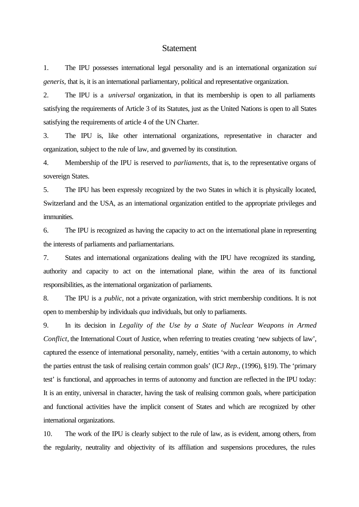#### Statement

1. The IPU possesses international legal personality and is an international organization *sui generis,* that is, it is an international parliamentary, political and representative organization.

2. The IPU is a *universal* organization, in that its membership is open to all parliaments satisfying the requirements of Article 3 of its Statutes, just as the United Nations is open to all States satisfying the requirements of article 4 of the UN Charter.

3. The IPU is, like other international organizations, representative in character and organization, subject to the rule of law, and governed by its constitution.

4. Membership of the IPU is reserved to *parliaments,* that is, to the representative organs of sovereign States.

5. The IPU has been expressly recognized by the two States in which it is physically located, Switzerland and the USA, as an international organization entitled to the appropriate privileges and immunities.

6. The IPU is recognized as having the capacity to act on the international plane in representing the interests of parliaments and parliamentarians.

7. States and international organizations dealing with the IPU have recognized its standing, authority and capacity to act on the international plane, within the area of its functional responsibilities, as the international organization of parliaments.

8. The IPU is a *public,* not a private organization, with strict membership conditions. It is not open to membership by individuals *qua* individuals, but only to parliaments.

9. In its decision in *Legality of the Use by a State of Nuclear Weapons in Armed Conflict*, the International Court of Justice, when referring to treaties creating 'new subjects of law', captured the essence of international personality, namely, entities 'with a certain autonomy, to which the parties entrust the task of realising certain common goals' (ICJ *Rep.,* (1996), §19). The 'primary test' is functional, and approaches in terms of autonomy and function are reflected in the IPU today: It is an entity, universal in character, having the task of realising common goals, where participation and functional activities have the implicit consent of States and which are recognized by other international organizations.

10. The work of the IPU is clearly subject to the rule of law, as is evident, among others, from the regularity, neutrality and objectivity of its affiliation and suspensions procedures, the rules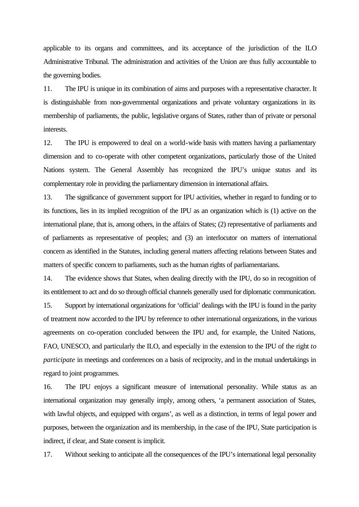applicable to its organs and committees, and its acceptance of the jurisdiction of the ILO Administrative Tribunal. The administration and activities of the Union are thus fully accountable to the governing bodies.

11. The IPU is unique in its combination of aims and purposes with a representative character. It is distinguishable from non-governmental organizations and private voluntary organizations in its membership of parliaments, the public, legislative organs of States, rather than of private or personal interests.

12. The IPU is empowered to deal on a world-wide basis with matters having a parliamentary dimension and to co-operate with other competent organizations, particularly those of the United Nations system. The General Assembly has recognized the IPU's unique status and its complementary role in providing the parliamentary dimension in international affairs.

13. The significance of government support for IPU activities, whether in regard to funding or to its functions, lies in its implied recognition of the IPU as an organization which is (1) active on the international plane, that is, among others, in the affairs of States; (2) representative of parliaments and of parliaments as representative of peoples; and (3) an interlocutor on matters of international concern as identified in the Statutes, including general matters affecting relations between States and matters of specific concern to parliaments, such as the human rights of parliamentarians.

14. The evidence shows that States, when dealing directly with the IPU, do so in recognition of its entitlement to act and do so through official channels generally used for diplomatic communication. 15. Support by international organizations for 'official' dealings with the IPU is found in the parity of treatment now accorded to the IPU by reference to other international organizations, in the various agreements on co-operation concluded between the IPU and, for example, the United Nations, FAO, UNESCO, and particularly the ILO, and especially in the extension to the IPU of the right *to participate* in meetings and conferences on a basis of reciprocity, and in the mutual undertakings in regard to joint programmes.

16. The IPU enjoys a significant measure of international personality. While status as an international organization may generally imply, among others, 'a permanent association of States, with lawful objects, and equipped with organs', as well as a distinction, in terms of legal power and purposes, between the organization and its membership, in the case of the IPU, State participation is indirect, if clear, and State consent is implicit.

17. Without seeking to anticipate all the consequences of the IPU's international legal personality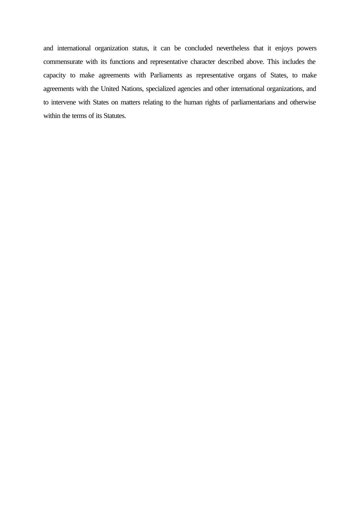and international organization status, it can be concluded nevertheless that it enjoys powers commensurate with its functions and representative character described above. This includes the capacity to make agreements with Parliaments as representative organs of States, to make agreements with the United Nations, specialized agencies and other international organizations, and to intervene with States on matters relating to the human rights of parliamentarians and otherwise within the terms of its Statutes.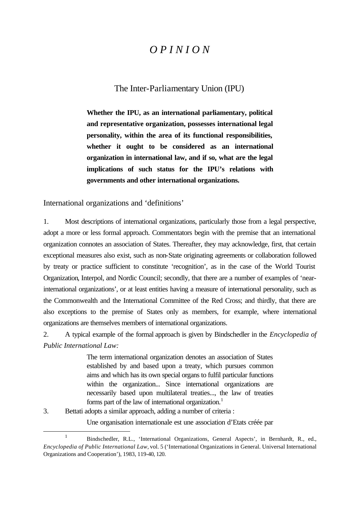# *O P I N I O N*

## The Inter-Parliamentary Union (IPU)

**Whether the IPU, as an international parliamentary, political and representative organization, possesses international legal personality, within the area of its functional responsibilities, whether it ought to be considered as an international organization in international law, and if so, what are the legal implications of such status for the IPU's relations with governments and other international organizations.**

International organizations and 'definitions'

1. Most descriptions of international organizations, particularly those from a legal perspective, adopt a more or less formal approach. Commentators begin with the premise that an international organization connotes an association of States. Thereafter, they may acknowledge, first, that certain exceptional measures also exist, such as non-State originating agreements or collaboration followed by treaty or practice sufficient to constitute 'recognition', as in the case of the World Tourist Organization, Interpol, and Nordic Council; secondly, that there are a number of examples of 'nearinternational organizations', or at least entities having a measure of international personality, such as the Commonwealth and the International Committee of the Red Cross; and thirdly, that there are also exceptions to the premise of States only as members, for example, where international organizations are themselves members of international organizations.

2. A typical example of the formal approach is given by Bindschedler in the *Encyclopedia of Public International Law:*

> The term international organization denotes an association of States established by and based upon a treaty, which pursues common aims and which has its own special organs to fulfil particular functions within the organization... Since international organizations are necessarily based upon multilateral treaties..., the law of treaties forms part of the law of international organization.<sup>1</sup>

3. Bettati adopts a similar approach, adding a number of criteria :

l

Une organisation internationale est une association d'Etats créée par

<sup>1</sup> Bindschedler, R.L., 'International Organizations, General Aspects', in Bernhardt, R., ed., *Encyclopedia of Public International Law,* vol. 5 ('International Organizations in General. Universal International Organizations and Cooperation'), 1983, 119-40, 120.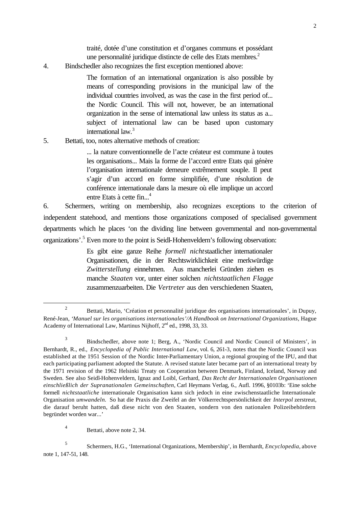traité, dotée d'une constitution et d'organes communs et possédant une personnalité juridique distincte de celle des Etats membres.<sup>2</sup>

4. Bindschedler also recognizes the first exception mentioned above:

The formation of an international organization is also possible by means of corresponding provisions in the municipal law of the individual countries involved, as was the case in the first period of... the Nordic Council. This will not, however, be an international organization in the sense of international law unless its status as a... subject of international law can be based upon customary international law.<sup>3</sup>

#### 5. Bettati, too, notes alternative methods of creation:

... la nature conventionnelle de l'acte créateur est commune à toutes les organisations... Mais la forme de l'accord entre Etats qui génère l'organisation internationale demeure extrêmement souple. Il peut s'agir d'un accord en forme simplifiée, d'une résolution de conférence internationale dans la mesure où elle implique un accord entre Etats à cette fin...<sup>4</sup>

6. Schermers, writing on membership, also recognizes exceptions to the criterion of independent statehood, and mentions those organizations composed of specialised government departments which he places 'on the dividing line between governmental and non-governmental organizations'.<sup>5</sup> Even more to the point is Seidl-Hohenveldern's following observation:

> Es gibt eine ganze Reihe *formell nicht*staatlicher internationaler Organisationen, die in der Rechtswirklichkeit eine merkwürdige *Zwitterstellung* einnehmen. Aus mancherlei Gründen ziehen es manche *Staaten* vor, unter einer solchen *nichtstaatlichen Flagge* zusammenzuarbeiten. Die *Vertreter* aus den verschiedenen Staaten,

<sup>2</sup> Bettati, Mario, 'Création et personnalité juridique des organisations internationales', in Dupuy, René-Jean, '*Manuel sur les organisations internationales'/A Handbook on International Organizations,* Hague Academy of International Law, Martinus Nijhoff, 2<sup>nd</sup> ed., 1998, 33, 33.

<sup>3</sup> Bindschedler, above note 1; Berg, A., 'Nordic Council and Nordic Council of Ministers', in Bernhardt, R., ed., *Encyclopedia of Public International Law,* vol. 6, 261-3, notes that the Nordic Council was established at the 1951 Session of the Nordic Inter-Parliamentary Union, a regional grouping of the IPU, and that each participating parliament adopted the Statute. A revised statute later became part of an international treaty by the 1971 revision of the 1962 Helsinki Treaty on Cooperation between Denmark, Finland, Iceland, Norway and Sweden. See also Seidl-Hohenveldern, Ignaz and Loibl, Gerhard, *Das Recht der Internationalen Organisationen einschließlich der Supranationalen Gemeinschaften,* Carl Heymans Verlag, 6., Aufl. 1996, §0103b: 'Eine solche formell *nichtstaatliche* internationale Organisation kann sich jedoch in eine zwischenstaatliche Internationale Organisation *umwandeln.* So hat die Praxis die Zweifel an der Völkerrechtspersönlichkeit der *Interpol* zerstreut, die darauf beruht hatten, daß diese nicht von den Staaten, sondern von den nationalen Polizeibehördern begründet worden war...'

<sup>4</sup> Bettati, above note 2, 34.

<sup>5</sup> Schermers, H.G., 'International Organizations, Membership', in Bernhardt, *Encyclopedia,* above note 1, 147-51, 148.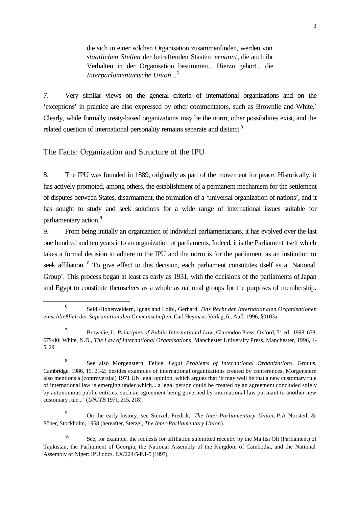die sich in einer solchen Organisation zusammenfinden, werden von *staatlichen Stellen* der betreffenden Staaten *ernannt,* die auch ihr Verhalten in der Organisation bestimmen... Hierzu gehört... die *Interparlamentarische Union*... 6

7. Very similar views on the general criteria of international organizations and on the 'exceptions' in practice are also expressed by other commentators, such as Brownlie and White.<sup>7</sup> Clearly, while formally treaty-based organizations may be the norm, other possibilities exist, and the related question of international personality remains separate and distinct.<sup>8</sup>

#### The Facts: Organization and Structure of the IPU

l

8. The IPU was founded in 1889, originally as part of the movement for peace. Historically, it has actively promoted, among others, the establishment of a permanent mechanism for the settlement of disputes between States, disarmament, the formation of a 'universal organization of nations', and it has sought to study and seek solutions for a wide range of international issues suitable for parliamentary action.<sup>9</sup>

9. From being initially an organization of individual parliamentarians, it has evolved over the last one hundred and ten years into an organization of parliaments. Indeed, it is the Parliament itself which takes a formal decision to adhere to the IPU and the norm is for the parliament as an institution to seek affiliation.<sup>10</sup> To give effect to this decision, each parliament constitutes itself as a 'National Group'. This process began at least as early as 1931, with the decisions of the parliaments of Japan and Egypt to constitute themselves as a whole as national groups for the purposes of membership.

<sup>9</sup> On the early history, see Sterzel, Fredrik, *The Inter-Parliamentary Union,* P.A Norstedt & Söner, Stockholm, 1968 (hereafter, Sterzel, *The Inter-Parliamentary Union*).

<sup>6</sup> Seidl-Hohenveldern, Ignaz and Loibl, Gerhard, *Das Recht der Internationalen Organisationen einschließlich der Supranationalen Gemeinschaften,* Carl Heymans Verlag, 6., Aufl. 1996, §0103a.

<sup>7</sup> Brownlie, I., *Principles of Public International Law*, Clarendon Press, Oxford, 5<sup>th</sup> ed., 1998, 678, 679-80; White, N.D., *The Law of International Organisations,* Manchester University Press, Manchester, 1996, 4- 5, 29.

<sup>8</sup> See also Morgenstern, Felice, *Legal Problems of International Organizations,* Grotius, Cambridge, 1986, 19, 21-2; besides examples of international organizations created by conferences, Morgenstern also mentions a (controversial) 1971 UN legal opinion, which argues that 'it may well be that a new customary rule of international law is emerging under which... a legal person could be created by an agreement concluded solely by autonomous public entities, such an agreement being governed by international law pursuant to another new customary rule...' (*UNJYB* 1971, 215, 218).

<sup>10</sup> See, for example, the requests for affiliation submitted recently by the Majlisi Oli (Parliament) of Tajikistan, the Parliament of Georgia, the National Assembly of the Kingdom of Cambodia, and the National Assembly of Niger: IPU docs. EX/224/5-P.1-5 (1997).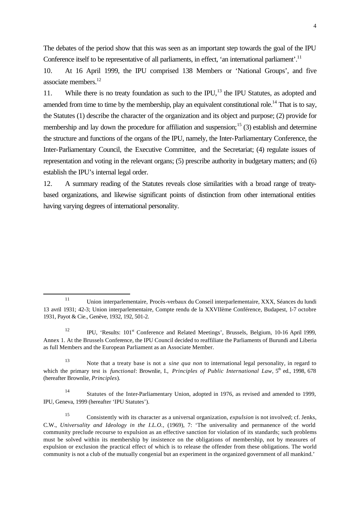The debates of the period show that this was seen as an important step towards the goal of the IPU Conference itself to be representative of all parliaments, in effect, 'an international parliament'.<sup>11</sup>

10. At 16 April 1999, the IPU comprised 138 Members or 'National Groups', and five associate members.<sup>12</sup>

11. While there is no treaty foundation as such to the IPU,<sup>13</sup> the IPU Statutes, as adopted and amended from time to time by the membership, play an equivalent constitutional role.<sup>14</sup> That is to say, the Statutes (1) describe the character of the organization and its object and purpose; (2) provide for membership and lay down the procedure for affiliation and suspension;<sup>15</sup> (3) establish and determine the structure and functions of the organs of the IPU, namely, the Inter-Parliamentary Conference, the Inter-Parliamentary Council, the Executive Committee, and the Secretariat; (4) regulate issues of representation and voting in the relevant organs; (5) prescribe authority in budgetary matters; and (6) establish the IPU's internal legal order.

12. A summary reading of the Statutes reveals close similarities with a broad range of treatybased organizations, and likewise significant points of distinction from other international entities having varying degrees of international personality.

<sup>11</sup> Union interparlementaire, Procès-verbaux du Conseil interparlementaire, XXX, Séances du lundi 13 avril 1931; 42-3; Union interparlementaire, Compte rendu de la XXVIIème Conférence, Budapest, 1-7 octobre 1931, Payot & Cie., Genève, 1932, 192, 501-2.

<sup>&</sup>lt;sup>12</sup> IPU, 'Results:  $101<sup>st</sup>$  Conference and Related Meetings', Brussels, Belgium, 10-16 April 1999, Annex 1. At the Brussels Conference, the IPU Council decided to reaffiliate the Parliaments of Burundi and Liberia as full Members and the European Parliament as an Associate Member.

<sup>13</sup> Note that a treaty base is not a *sine qua non* to international legal personality, in regard to which the primary test is *functional:* Brownlie, I., *Principles of Public International Law*, 5<sup>th</sup> ed., 1998, 678 (hereafter Brownlie, *Principles*).

<sup>14</sup> Statutes of the Inter-Parliamentary Union, adopted in 1976, as revised and amended to 1999, IPU, Geneva, 1999 (hereafter 'IPU Statutes').

<sup>15</sup> Consistently with its character as a universal organization, *expulsion* is not involved; cf. Jenks, C.W., *Universality and Ideology in the I.L.O.,* (1969), 7: 'The universality and permanence of the world community preclude recourse to expulsion as an effective sanction for violation of its standards; such problems must be solved within its membership by insistence on the obligations of membership, not by measures of expulsion or exclusion the practical effect of which is to release the offender from these obligations. The world community is not a club of the mutually congenial but an experiment in the organized government of all mankind.'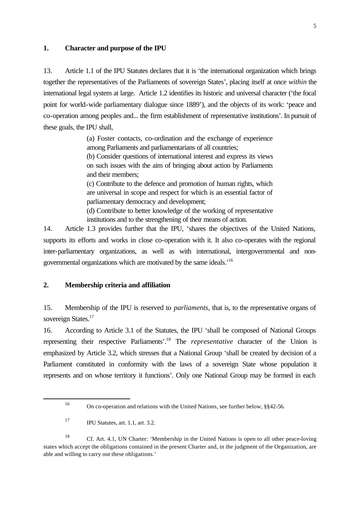#### **1. Character and purpose of the IPU**

13. Article 1.1 of the IPU Statutes declares that it is 'the international organization which brings together the representatives of the Parliaments of sovereign States', placing itself at once *within* the international legal system at large. Article 1.2 identifies its historic and universal character ('the focal point for world-wide parliamentary dialogue since 1889'), and the objects of its work: 'peace and co-operation among peoples and... the firm establishment of representative institutions'. In pursuit of these goals, the IPU shall,

> (a) Foster contacts, co-ordination and the exchange of experience among Parliaments and parliamentarians of all countries;

> (b) Consider questions of international interest and express its views on such issues with the aim of bringing about action by Parliaments and their members;

> (c) Contribute to the defence and promotion of human rights, which are universal in scope and respect for which is an essential factor of parliamentary democracy and development;

> (d) Contribute to better knowledge of the working of representative institutions and to the strengthening of their means of action.

14. Article 1.3 provides further that the IPU, 'shares the objectives of the United Nations, supports its efforts and works in close co-operation with it. It also co-operates with the regional inter-parliamentary organizations, as well as with international, intergovernmental and nongovernmental organizations which are motivated by the same ideals.'<sup>16</sup>

#### **2. Membership criteria and affiliation**

15. Membership of the IPU is reserved to *parliaments,* that is, to the representative organs of sovereign States.<sup>17</sup>

16. According to Article 3.1 of the Statutes, the IPU 'shall be composed of National Groups representing their respective Parliaments'.<sup>18</sup> The *representative* character of the Union is emphasized by Article 3.2, which stresses that a National Group 'shall be created by decision of a Parliament constituted in conformity with the laws of a sovereign State whose population it represents and on whose territory it functions'. Only one National Group may be formed in each

<sup>16</sup> On co-operation and relations with the United Nations, see further below, §§42-56.

<sup>17</sup> IPU Statutes, art. 1.1, art. 3.2.

<sup>18</sup> Cf. Art. 4.1, UN Charter: 'Membership in the United Nations is open to all other peace-loving states which accept the obligations contained in the present Charter and, in the judgment of the Organization, are able and willing to carry out these obligations.'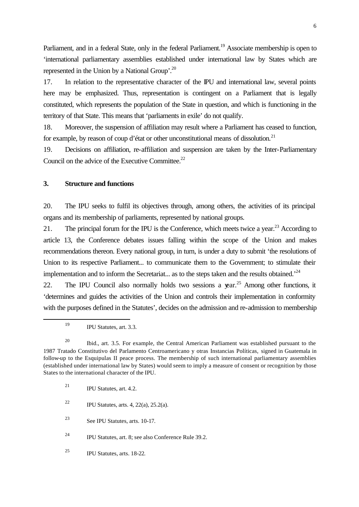Parliament, and in a federal State, only in the federal Parliament.<sup>19</sup> Associate membership is open to 'international parliamentary assemblies established under international law by States which are represented in the Union by a National Group'.<sup>20</sup>

17. In relation to the representative character of the IPU and international law, several points here may be emphasized. Thus, representation is contingent on a Parliament that is legally constituted, which represents the population of the State in question, and which is functioning in the territory of that State. This means that 'parliaments in exile' do not qualify.

18. Moreover, the suspension of affiliation may result where a Parliament has ceased to function, for example, by reason of coup d'état or other unconstitutional means of dissolution.<sup>21</sup>

19. Decisions on affiliation, re-affiliation and suspension are taken by the Inter-Parliamentary Council on the advice of the Executive Committee.<sup>22</sup>

#### **3. Structure and functions**

20. The IPU seeks to fulfil its objectives through, among others, the activities of its principal organs and its membership of parliaments, represented by national groups.

21. The principal forum for the IPU is the Conference, which meets twice a year.<sup>23</sup> According to article 13, the Conference debates issues falling within the scope of the Union and makes recommendations thereon. Every national group, in turn, is under a duty to submit 'the resolutions of Union to its respective Parliament... to communicate them to the Government; to stimulate their implementation and to inform the Secretariat... as to the steps taken and the results obtained.<sup> $24$ </sup>

22. The IPU Council also normally holds two sessions a vear.<sup>25</sup> Among other functions, it 'determines and guides the activities of the Union and controls their implementation in conformity with the purposes defined in the Statutes', decides on the admission and re-admission to membership

l

- <sup>22</sup> IPU Statutes, arts. 4, 22(a), 25.2(a).
- <sup>23</sup> See IPU Statutes, arts. 10-17.

<sup>24</sup> IPU Statutes, art. 8; see also Conference Rule 39.2.

<sup>19</sup> IPU Statutes, art. 3.3.

<sup>&</sup>lt;sup>20</sup> Ibid., art. 3.5. For example, the Central American Parliament was established pursuant to the 1987 Tratado Constitutivo del Parlamento Centroamericano y otras Instancias Políticas, signed in Guatemala in follow-up to the Esquipulas II peace process. The membership of such international parliamentary assemblies (established under international law by States) would seem to imply a measure of consent or recognition by those States to the international character of the IPU.

<sup>&</sup>lt;sup>21</sup> IPU Statutes, art. 4.2.

<sup>25</sup> IPU Statutes, arts. 18-22.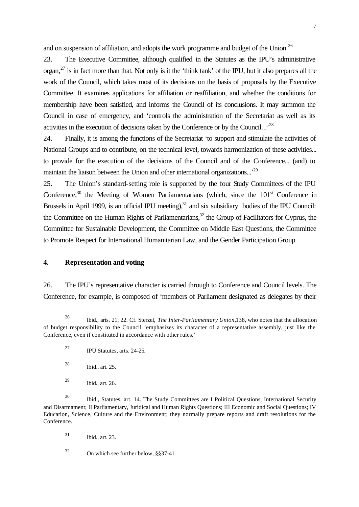and on suspension of affiliation, and adopts the work programme and budget of the Union.<sup>26</sup>

23. The Executive Committee, although qualified in the Statutes as the IPU's administrative organ,<sup>27</sup> is in fact more than that. Not only is it the 'think tank' of the IPU, but it also prepares all the work of the Council, which takes most of its decisions on the basis of proposals by the Executive Committee. It examines applications for affiliation or reaffiliation, and whether the conditions for membership have been satisfied, and informs the Council of its conclusions. It may summon the Council in case of emergency, and 'controls the administration of the Secretariat as well as its activities in the execution of decisions taken by the Conference or by the Council...<sup>28</sup>

24. Finally, it is among the functions of the Secretariat 'to support and stimulate the activities of National Groups and to contribute, on the technical level, towards harmonization of these activities... to provide for the execution of the decisions of the Council and of the Conference... (and) to maintain the liaison between the Union and other international organizations...'<sup>29</sup>

25. The Union's standard-setting role is supported by the four Study Committees of the IPU Conference,<sup>30</sup> the Meeting of Women Parliamentarians (which, since the  $101<sup>st</sup>$  Conference in Brussels in April 1999, is an official IPU meeting), $31$  and six subsidiary bodies of the IPU Council: the Committee on the Human Rights of Parliamentarians,<sup>32</sup> the Group of Facilitators for Cyprus, the Committee for Sustainable Development, the Committee on Middle East Questions, the Committee to Promote Respect for International Humanitarian Law, and the Gender Participation Group.

#### **4. Representation and voting**

26. The IPU's representative character is carried through to Conference and Council levels. The Conference, for example, is composed of 'members of Parliament designated as delegates by their

l

<sup>31</sup> Ibid., art. 23.

<sup>32</sup> On which see further below, §§37-41.

<sup>26</sup> Ibid., arts. 21, 22. Cf. Sterzel, *The Inter-Parliamentary Union,*138, who notes that the allocation of budget responsibility to the Council 'emphasizes its character of a representative assembly, just like the Conference, even if constituted in accordance with other rules.'

<sup>27</sup> IPU Statutes, arts. 24-25.

<sup>28</sup> Ibid., art. 25.

<sup>29</sup> Ibid., art. 26.

<sup>30</sup> Ibid., Statutes, art. 14. The Study Committees are I Political Questions, International Security and Disarmament; II Parliamentary, Juridical and Human Rights Questions; III Economic and Social Questions; IV Education, Science, Culture and the Environment; they normally prepare reports and draft resolutions for the Conference.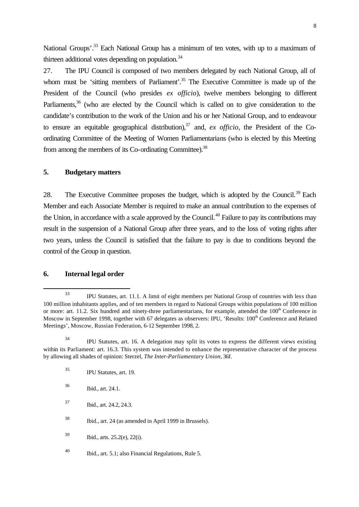National Groups'.<sup>33</sup> Each National Group has a minimum of ten votes, with up to a maximum of thirteen additional votes depending on population. $34$ 

27. The IPU Council is composed of two members delegated by each National Group, all of whom must be 'sitting members of Parliament'.<sup>35</sup> The Executive Committee is made up of the President of the Council (who presides *ex officio*), twelve members belonging to different Parliaments,<sup>36</sup> (who are elected by the Council which is called on to give consideration to the candidate's contribution to the work of the Union and his or her National Group, and to endeavour to ensure an equitable geographical distribution),  $37$  and, *ex officio*, the President of the Coordinating Committee of the Meeting of Women Parliamentarians (who is elected by this Meeting from among the members of its Co-ordinating Committee).<sup>38</sup>

#### **5. Budgetary matters**

28. The Executive Committee proposes the budget, which is adopted by the Council.<sup>39</sup> Each Member and each Associate Member is required to make an annual contribution to the expenses of the Union, in accordance with a scale approved by the Council.<sup>40</sup> Failure to pay its contributions may result in the suspension of a National Group after three years, and to the loss of voting rights after two years, unless the Council is satisfied that the failure to pay is due to conditions beyond the control of the Group in question.

#### **6. Internal legal order**

l

<sup>37</sup> Ibid., art. 24.2, 24.3.

<sup>38</sup> Ibid., art. 24 (as amended in April 1999 in Brussels).

<sup>39</sup> Ibid., arts. 25.2(e), 22(i).

<sup>33</sup> IPU Statutes, art. 11.1. A limit of eight members per National Group of countries with less than 100 million inhabitants applies, and of ten members in regard to National Groups within populations of 100 million or more: art. 11.2. Six hundred and ninety-three parliamentarians, for example, attended the 100<sup>th</sup> Conference in Moscow in September 1998, together with 67 delegates as observers: IPU, 'Results: 100<sup>th</sup> Conference and Related Meetings', Moscow, Russian Federation, 6-12 September 1998, 2.

<sup>&</sup>lt;sup>34</sup> IPU Statutes, art. 16. A delegation may split its votes to express the different views existing within its Parliament: art. 16.3. This system was intended to enhance the representative character of the process by allowing all shades of opinion: Sterzel, *The Inter-Parliamentary Union,* 36f.

<sup>35</sup> IPU Statutes, art. 19.

<sup>36</sup> Ibid., art. 24.1.

<sup>40</sup> Ibid., art. 5.1; also Financial Regulations, Rule 5.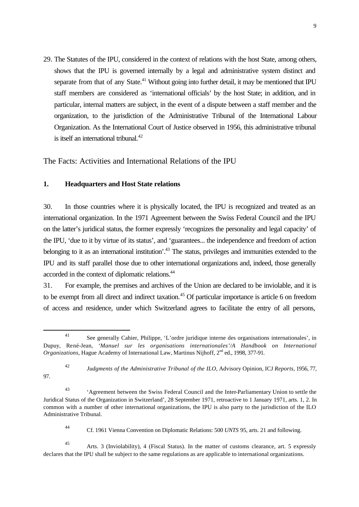29. The Statutes of the IPU, considered in the context of relations with the host State, among others, shows that the IPU is governed internally by a legal and administrative system distinct and separate from that of any State.<sup>41</sup> Without going into further detail, it may be mentioned that IPU staff members are considered as 'international officials' by the host State; in addition, and in particular, internal matters are subject, in the event of a dispute between a staff member and the organization, to the jurisdiction of the Administrative Tribunal of the International Labour Organization. As the International Court of Justice observed in 1956, this administrative tribunal is itself an international tribunal. $42$ 

The Facts: Activities and International Relations of the IPU

#### **1. Headquarters and Host State relations**

l

97.

30. In those countries where it is physically located, the IPU is recognized and treated as an international organization. In the 1971 Agreement between the Swiss Federal Council and the IPU on the latter's juridical status, the former expressly 'recognizes the personality and legal capacity' of the IPU, 'due to it by virtue of its status', and 'guarantees... the independence and freedom of action belonging to it as an international institution<sup>', 43</sup> The status, privileges and immunities extended to the IPU and its staff parallel those due to other international organizations and, indeed, those generally accorded in the context of diplomatic relations.<sup>44</sup>

31. For example, the premises and archives of the Union are declared to be inviolable, and it is to be exempt from all direct and indirect taxation.<sup>45</sup> Of particular importance is article 6 on freedom of access and residence, under which Switzerland agrees to facilitate the entry of all persons,

<sup>41</sup> See generally Cahier, Philippe, 'L'ordre juridique interne des organisations internationales', in Dupuy, René-Jean, '*Manuel sur les organisations internationales'/A Handbook on International Organizations, Hague Academy of International Law, Martinus Nijhoff, 2<sup>nd</sup> ed., 1998, 377-91.* 

<sup>42</sup> *Judgments of the Administrative Tribunal of the ILO,* Advisory Opinion, ICJ *Reports*, 1956, 77,

<sup>43</sup> 'Agreement between the Swiss Federal Council and the Inter-Parliamentary Union to settle the Juridical Status of the Organization in Switzerland', 28 September 1971, retroactive to 1 January 1971, arts. 1, 2. In common with a number of other international organizations, the IPU is also party to the jurisdiction of the ILO Administrative Tribunal.

<sup>44</sup> Cf. 1961 Vienna Convention on Diplomatic Relations: 500 *UNTS* 95, arts. 21 and following.

<sup>45</sup> Arts. 3 (Inviolability), 4 (Fiscal Status). In the matter of customs clearance, art. 5 expressly declares that the IPU shall be subject to the same regulations as are applicable to international organizations.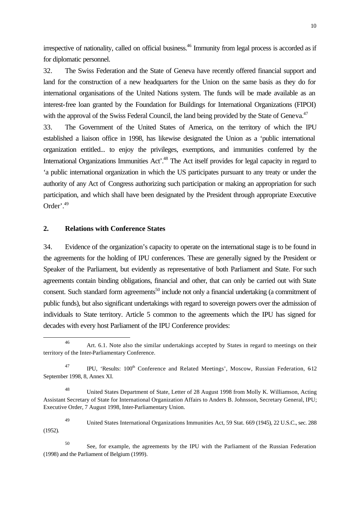irrespective of nationality, called on official business.<sup>46</sup> Immunity from legal process is accorded as if for diplomatic personnel.

32. The Swiss Federation and the State of Geneva have recently offered financial support and land for the construction of a new headquarters for the Union on the same basis as they do for international organisations of the United Nations system. The funds will be made available as an interest-free loan granted by the Foundation for Buildings for International Organizations (FIPOI) with the approval of the Swiss Federal Council, the land being provided by the State of Geneva.<sup>47</sup>

33. The Government of the United States of America, on the territory of which the IPU established a liaison office in 1998, has likewise designated the Union as a 'public international organization entitled... to enjoy the privileges, exemptions, and immunities conferred by the International Organizations Immunities Act<sup>'.48</sup> The Act itself provides for legal capacity in regard to 'a public international organization in which the US participates pursuant to any treaty or under the authority of any Act of Congress authorizing such participation or making an appropriation for such participation, and which shall have been designated by the President through appropriate Executive Order'.<sup>49</sup>

#### **2. Relations with Conference States**

l

34. Evidence of the organization's capacity to operate on the international stage is to be found in the agreements for the holding of IPU conferences. These are generally signed by the President or Speaker of the Parliament, but evidently as representative of both Parliament and State. For such agreements contain binding obligations, financial and other, that can only be carried out with State consent. Such standard form agreements<sup>50</sup> include not only a financial undertaking (a commitment of public funds), but also significant undertakings with regard to sovereign powers over the admission of individuals to State territory. Article 5 common to the agreements which the IPU has signed for decades with every host Parliament of the IPU Conference provides:

<sup>49</sup> United States International Organizations Immunities Act, 59 Stat. 669 (1945), 22 U.S.C., sec. 288 (1952).

<sup>46</sup> Art. 6.1. Note also the similar undertakings accepted by States in regard to meetings on their territory of the Inter-Parliamentary Conference.

<sup>&</sup>lt;sup>47</sup> IPU, 'Results: 100<sup>th</sup> Conference and Related Meetings', Moscow, Russian Federation, 612 September 1998, 8, Annex XI.

<sup>48</sup> United States Department of State, Letter of 28 August 1998 from Molly K. Williamson, Acting Assistant Secretary of State for International Organization Affairs to Anders B. Johnsson, Secretary General, IPU; Executive Order, 7 August 1998, Inter-Parliamentary Union.

<sup>50</sup> See, for example, the agreements by the IPU with the Parliament of the Russian Federation (1998) and the Parliament of Belgium (1999).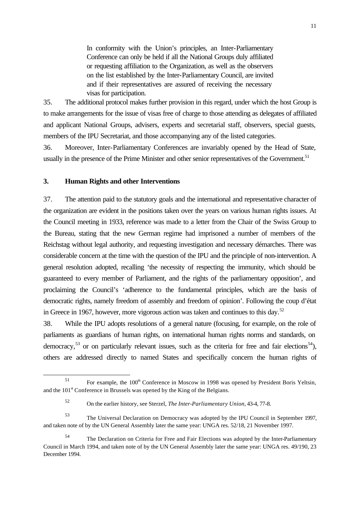In conformity with the Union's principles, an Inter-Parliamentary Conference can only be held if all the National Groups duly affiliated or requesting affiliation to the Organization, as well as the observers on the list established by the Inter-Parliamentary Council, are invited and if their representatives are assured of receiving the necessary visas for participation.

35. The additional protocol makes further provision in this regard, under which the host Group is to make arrangements for the issue of visas free of charge to those attending as delegates of affiliated and applicant National Groups, advisers, experts and secretarial staff, observers, special guests, members of the IPU Secretariat, and those accompanying any of the listed categories.

36. Moreover, Inter-Parliamentary Conferences are invariably opened by the Head of State, usually in the presence of the Prime Minister and other senior representatives of the Government.<sup>51</sup>

#### **3. Human Rights and other Interventions**

l

37. The attention paid to the statutory goals and the international and representative character of the organization are evident in the positions taken over the years on various human rights issues. At the Council meeting in 1933, reference was made to a letter from the Chair of the Swiss Group to the Bureau, stating that the new German regime had imprisoned a number of members of the Reichstag without legal authority, and requesting investigation and necessary démarches. There was considerable concern at the time with the question of the IPU and the principle of non-intervention. A general resolution adopted, recalling 'the necessity of respecting the immunity, which should be guaranteed to every member of Parliament, and the rights of the parliamentary opposition', and proclaiming the Council's 'adherence to the fundamental principles, which are the basis of democratic rights, namely freedom of assembly and freedom of opinion'. Following the coup d'état in Greece in 1967, however, more vigorous action was taken and continues to this day.<sup>52</sup>

38. While the IPU adopts resolutions of a general nature (focusing, for example, on the role of parliaments as guardians of human rights, on international human rights norms and standards, on democracy,<sup>53</sup> or on particularly relevant issues, such as the criteria for free and fair elections<sup>54</sup>), others are addressed directly to named States and specifically concern the human rights of

 $51$  For example, the  $100<sup>th</sup>$  Conference in Moscow in 1998 was opened by President Boris Yeltsin, and the  $101<sup>st</sup>$  Conference in Brussels was opened by the King of the Belgians.

<sup>52</sup> On the earlier history, see Sterzel, *The Inter-Parliamentary Union,* 43-4, 77-8.

<sup>53</sup> The Universal Declaration on Democracy was adopted by the IPU Council in September 1997, and taken note of by the UN General Assembly later the same year: UNGA res. 52/18, 21 November 1997.

The Declaration on Criteria for Free and Fair Elections was adopted by the Inter-Parliamentary Council in March 1994, and taken note of by the UN General Assembly later the same year: UNGA res. 49/190, 23 December 1994.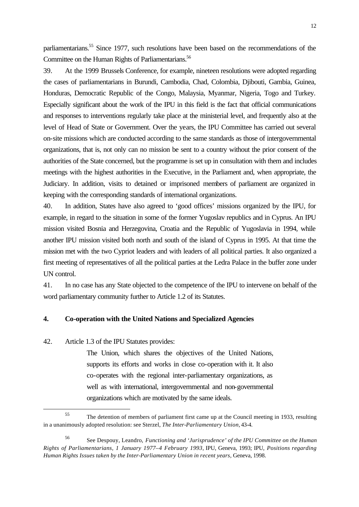parliamentarians.<sup>55</sup> Since 1977, such resolutions have been based on the recommendations of the Committee on the Human Rights of Parliamentarians.<sup>56</sup>

39. At the 1999 Brussels Conference, for example, nineteen resolutions were adopted regarding the cases of parliamentarians in Burundi, Cambodia, Chad, Colombia, Djibouti, Gambia, Guinea, Honduras, Democratic Republic of the Congo, Malaysia, Myanmar, Nigeria, Togo and Turkey. Especially significant about the work of the IPU in this field is the fact that official communications and responses to interventions regularly take place at the ministerial level, and frequently also at the level of Head of State or Government. Over the years, the IPU Committee has carried out several on-site missions which are conducted according to the same standards as those of intergovernmental organizations, that is, not only can no mission be sent to a country without the prior consent of the authorities of the State concerned, but the programme is set up in consultation with them and includes meetings with the highest authorities in the Executive, in the Parliament and, when appropriate, the Judiciary. In addition, visits to detained or imprisoned members of parliament are organized in keeping with the corresponding standards of international organizations.

40. In addition, States have also agreed to 'good offices' missions organized by the IPU, for example, in regard to the situation in some of the former Yugoslav republics and in Cyprus. An IPU mission visited Bosnia and Herzegovina, Croatia and the Republic of Yugoslavia in 1994, while another IPU mission visited both north and south of the island of Cyprus in 1995. At that time the mission met with the two Cypriot leaders and with leaders of all political parties. It also organized a first meeting of representatives of all the political parties at the Ledra Palace in the buffer zone under UN control.

41. In no case has any State objected to the competence of the IPU to intervene on behalf of the word parliamentary community further to Article 1.2 of its Statutes.

#### **4. Co-operation with the United Nations and Specialized Agencies**

42. Article 1.3 of the IPU Statutes provides:

l

The Union, which shares the objectives of the United Nations, supports its efforts and works in close co-operation with it. It also co-operates with the regional inter-parliamentary organizations, as well as with international, intergovernmental and non-governmental organizations which are motivated by the same ideals.

<sup>&</sup>lt;sup>55</sup> The detention of members of parliament first came up at the Council meeting in 1933, resulting in a unanimously adopted resolution: see Sterzel, *The Inter-Parliamentary Union,* 43-4.

<sup>56</sup> See Despouy, Leandro, *Functioning and 'Jurisprudence' of the IPU Committee on the Human Rights of Parliamentarians, 1 January 1977–4 February 1993,* IPU, Geneva, 1993; IPU, *Positions regarding Human Rights Issues taken by the Inter-Parliamentary Union in recent years,* Geneva, 1998.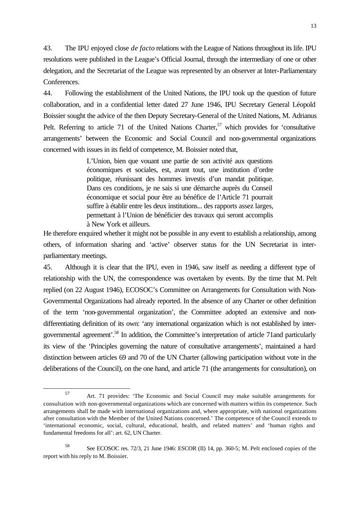43. The IPU enjoyed close *de facto* relations with the League of Nations throughout its life. IPU resolutions were published in the League's Official Journal, through the intermediary of one or other delegation, and the Secretariat of the League was represented by an observer at Inter-Parliamentary Conferences.

44. Following the establishment of the United Nations, the IPU took up the question of future collaboration, and in a confidential letter dated 27 June 1946, IPU Secretary General Léopold Boissier sought the advice of the then Deputy Secretary-General of the United Nations, M. Adrianus Pelt. Referring to article 71 of the United Nations Charter,  $57$  which provides for 'consultative arrangements' between the Economic and Social Council and non-governmental organizations concerned with issues in its field of competence, M. Boissier noted that,

> L'Union, bien que vouant une partie de son activité aux questions économiques et sociales, est, avant tout, une institution d'ordre politique, réunissant des hommes investis d'un mandat politique. Dans ces conditions, je ne sais si une démarche auprès du Conseil économique et social pour être au bénéfice de l'Article 71 pourrait suffire à établir entre les deux institutions... des rapports assez larges, permettant à l'Union de bénéficier des travaux qui seront accomplis à New York et ailleurs.

He therefore enquired whether it might not be possible in any event to establish a relationship, among others, of information sharing and 'active' observer status for the UN Secretariat in interparliamentary meetings.

45. Although it is clear that the IPU, even in 1946, saw itself as needing a different type of relationship with the UN, the correspondence was overtaken by events. By the time that M. Pelt replied (on 22 August 1946), ECOSOC's Committee on Arrangements for Consultation with Non-Governmental Organizations had already reported. In the absence of any Charter or other definition of the term 'non-governmental organization', the Committee adopted an extensive and nondifferentiating definition of its own: 'any international organization which is not established by intergovernmental agreement'.<sup>58</sup> In addition, the Committee's interpretation of article 71and particularly its view of the 'Principles governing the nature of consultative arrangements', maintained a hard distinction between articles 69 and 70 of the UN Charter (allowing participation without vote in the deliberations of the Council), on the one hand, and article 71 (the arrangements for consultation), on

<sup>57</sup> Art. 71 provides: 'The Economic and Social Council may make suitable arrangements for consultation with non-governmental organizations which are concerned with matters within its competence. Such arrangements shall be made with international organizations and, where appropriate, with national organizations after consultation with the Member of the United Nations concerned.' The competence of the Council extends to 'international economic, social, cultural, educational, health, and related matters' and 'human rights and fundamental freedoms for all': art. 62, UN Charter.

<sup>58</sup> See ECOSOC res. 72/3, 21 June 1946: ESCOR (II) 14, pp. 360-5; M. Pelt enclosed copies of the report with his reply to M. Boissier.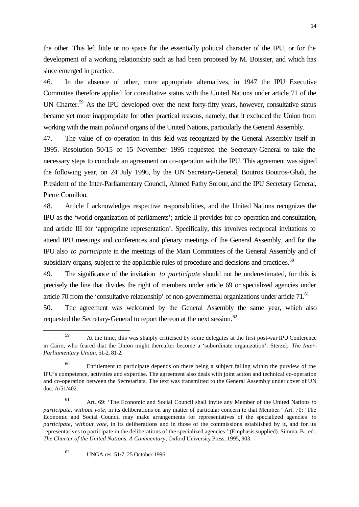the other. This left little or no space for the essentially political character of the IPU, or for the development of a working relationship such as had been proposed by M. Boissier, and which has since emerged in practice.

46. In the absence of other, more appropriate alternatives, in 1947 the IPU Executive Committee therefore applied for consultative status with the United Nations under article 71 of the UN Charter.<sup>59</sup> As the IPU developed over the next forty-fifty years, however, consultative status became yet more inappropriate for other practical reasons, namely, that it excluded the Union from working with the main *political* organs of the United Nations, particularly the General Assembly.

47. The value of co-operation in this field was recognized by the General Assembly itself in 1995. Resolution 50/15 of 15 November 1995 requested the Secretary-General to take the necessary steps to conclude an agreement on co-operation with the IPU. This agreement was signed the following year, on 24 July 1996, by the UN Secretary-General, Boutros Boutros-Ghali, the President of the Inter-Parliamentary Council, Ahmed Fathy Sorour, and the IPU Secretary General, Pierre Cornillon.

48. Article I acknowledges respective responsibilities, and the United Nations recognizes the IPU as the 'world organization of parliaments'; article II provides for co-operation and consultation, and article III for 'appropriate representation'. Specifically, this involves reciprocal invitations to attend IPU meetings and conferences and plenary meetings of the General Assembly, and for the IPU also *to participate* in the meetings of the Main Committees of the General Assembly and of subsidiary organs, subject to the applicable rules of procedure and decisions and practices.<sup>60</sup>

49. The significance of the invitation *to participate* should not be underestimated, for this is precisely the line that divides the right of members under article 69 or specialized agencies under article 70 from the 'consultative relationship' of non-governmental organizations under article 71.<sup>61</sup> 50. The agreement was welcomed by the General Assembly the same year, which also requested the Secretary-General to report thereon at the next session.<sup>62</sup>

<sup>59</sup> At the time, this was sharply criticised by some delegates at the first post-war IPU Conference in Cairo, who feared that the Union might thereafter become a 'subordinate organization': Sterzel, *The Inter-Parliamentary Union,* 51-2, 81-2.

<sup>60</sup> Entitlement to participate depends on there being a subject falling within the purview of the IPU's competence, activities and expertise. The agreement also deals with joint action and technical co-operation and co-operation between the Secretariats. The text was transmitted to the General Assembly under cover of UN doc. A/51/402.

<sup>61</sup> Art. 69: 'The Economic and Social Council shall invite any Member of the United Nations *to participate, without vote,* in its deliberations on any matter of particular concern to that Member.' Art. 70: 'The Economic and Social Council may make arrangements for representatives of the specialized agencies *to participate, without vote,* in its deliberations and in those of the commissions established by it, and for its representatives to participate in the deliberations of the specialized agencies.' (Emphasis supplied). Simma, B., ed., *The Charter of the United Nations. A Commentary,* Oxford University Press, 1995, 903.

<sup>62</sup> UNGA res. 51/7, 25 October 1996.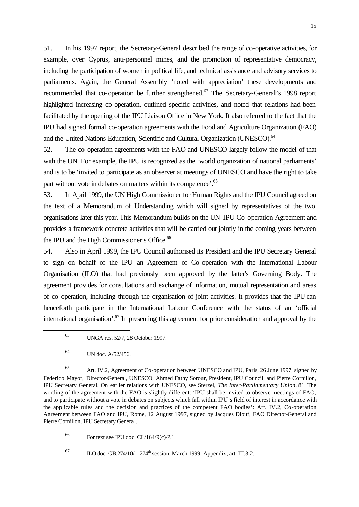51. In his 1997 report, the Secretary-General described the range of co-operative activities, for example, over Cyprus, anti-personnel mines, and the promotion of representative democracy, including the participation of women in political life, and technical assistance and advisory services to parliaments. Again, the General Assembly 'noted with appreciation' these developments and recommended that co-operation be further strengthened.<sup>63</sup> The Secretary-General's 1998 report highlighted increasing co-operation, outlined specific activities, and noted that relations had been facilitated by the opening of the IPU Liaison Office in New York. It also referred to the fact that the IPU had signed formal co-operation agreements with the Food and Agriculture Organization (FAO) and the United Nations Education, Scientific and Cultural Organization (UNESCO).<sup>64</sup>

52. The co-operation agreements with the FAO and UNESCO largely follow the model of that with the UN. For example, the IPU is recognized as the 'world organization of national parliaments' and is to be 'invited to participate as an observer at meetings of UNESCO and have the right to take part without vote in debates on matters within its competence'.<sup>65</sup>

53. In April 1999, the UN High Commissioner for Human Rights and the IPU Council agreed on the text of a Memorandum of Understanding which will signed by representatives of the two organisations later this year. This Memorandum builds on the UN-IPU Co-operation Agreement and provides a framework concrete activities that will be carried out jointly in the coming years between the IPU and the High Commissioner's Office.<sup>66</sup>

54. Also in April 1999, the IPU Council authorised its President and the IPU Secretary General to sign on behalf of the IPU an Agreement of Co-operation with the International Labour Organisation (ILO) that had previously been approved by the latter's Governing Body. The agreement provides for consultations and exchange of information, mutual representation and areas of co-operation, including through the organisation of joint activities. It provides that the IPU can henceforth participate in the International Labour Conference with the status of an 'official international organisation'.<sup>67</sup> In presenting this agreement for prior consideration and approval by the

l

<sup>65</sup> Art. IV.2, Agreement of Co-operation between UNESCO and IPU, Paris, 26 June 1997, signed by Federico Mayor, Director-General, UNESCO, Ahmed Fathy Sorour, President, IPU Council, and Pierre Cornillon, IPU Secretary General. On earlier relations with UNESCO, see Sterzel, *The Inter-Parliamentary Union,* 81. The wording of the agreement with the FAO is slightly different: 'IPU shall be invited to observe meetings of FAO, and to participate without a vote in debates on subjects which fall within IPU's field of interest in accordance with the applicable rules and the decision and practices of the competent FAO bodies': Art. IV.2, Co-operation Agreement between FAO and IPU, Rome, 12 August 1997, signed by Jacques Diouf, FAO Director-General and Pierre Cornillon, IPU Secretary General.

 $^{66}$  For text see IPU doc. CL/164/9(c)-P.1.

 $\mu$ <sup>67</sup> ILO doc. GB.274/10/1, 274<sup>th</sup> session, March 1999, Appendix, art. III.3.2.

<sup>63</sup> UNGA res. 52/7, 28 October 1997.

 $V_N$  UN doc.  $A/52/456$ .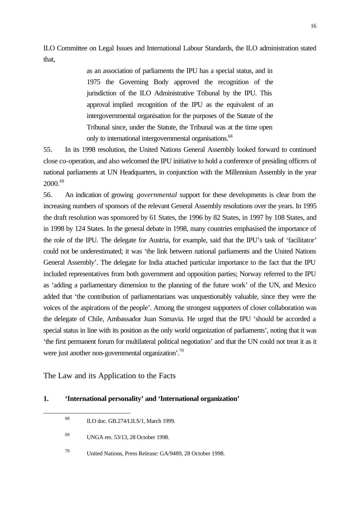ILO Committee on Legal Issues and International Labour Standards, the ILO administration stated that,

> as an association of parliaments the IPU has a special status, and in 1975 the Governing Body approved the recognition of the jurisdiction of the ILO Administrative Tribunal by the IPU. This approval implied recognition of the IPU as the equivalent of an intergovernmental organisation for the purposes of the Statute of the Tribunal since, under the Statute, the Tribunal was at the time open only to international intergovernmental organisations.<sup>68</sup>

55. In its 1998 resolution, the United Nations General Assembly looked forward to continued close co-operation, and also welcomed the IPU initiative to hold a conference of presiding officers of national parliaments at UN Headquarters, in conjunction with the Millennium Assembly in the year 2000.<sup>69</sup>

56. An indication of growing *governmental* support for these developments is clear from the increasing numbers of sponsors of the relevant General Assembly resolutions over the years. In 1995 the draft resolution was sponsored by 61 States, the 1996 by 82 States, in 1997 by 108 States, and in 1998 by 124 States. In the general debate in 1998, many countries emphasised the importance of the role of the IPU. The delegate for Austria, for example, said that the IPU's task of 'facilitator' could not be underestimated; it was 'the link between national parliaments and the United Nations General Assembly'. The delegate for India attached particular importance to the fact that the IPU included representatives from both government and opposition parties; Norway referred to the IPU as 'adding a parliamentary dimension to the planning of the future work' of the UN, and Mexico added that 'the contribution of parliamentarians was unquestionably valuable, since they were the voices of the aspirations of the people'. Among the strongest supporters of closer collaboration was the delegate of Chile, Ambassador Juan Somavia. He urged that the IPU 'should be accorded a special status in line with its position as the only world organization of parliaments', noting that it was 'the first permanent forum for multilateral political negotiation' and that the UN could not treat it as it were just another non-governmental organization'.<sup>70</sup>

The Law and its Application to the Facts

l

#### **1. 'International personality' and 'International organization'**

<sup>68</sup> ILO doc. GB.274/LILS/1, March 1999.

<sup>70</sup> United Nations, Press Release: GA/9489, 28 October 1998.

<sup>69</sup> UNGA res. 53/13, 28 October 1998.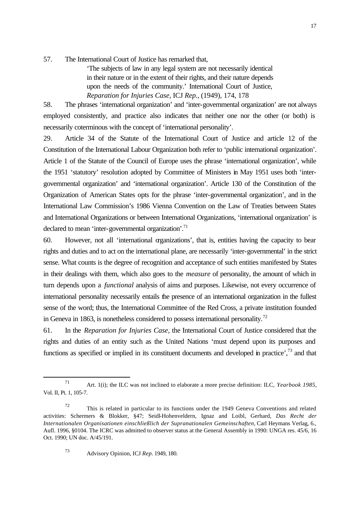57. The International Court of Justice has remarked that,

'The subjects of law in any legal system are not necessarily identical in their nature or in the extent of their rights, and their nature depends upon the needs of the community.' International Court of Justice, *Reparation for Injuries Case,* ICJ *Rep.,* (1949), 174, 178

58. The phrases 'international organization' and 'inter-governmental organization' are not always employed consistently, and practice also indicates that neither one nor the other (or both) is necessarily coterminous with the concept of 'international personality'.

29. Article 34 of the Statute of the International Court of Justice and article 12 of the Constitution of the International Labour Organization both refer to 'public international organization'. Article 1 of the Statute of the Council of Europe uses the phrase 'international organization', while the 1951 'statutory' resolution adopted by Committee of Ministers in May 1951 uses both 'intergovernmental organization' and 'international organization'. Article 130 of the Constitution of the Organization of American States opts for the phrase 'inter-governmental organization', and in the International Law Commission's 1986 Vienna Convention on the Law of Treaties between States and International Organizations or between International Organizations, 'international organization' is declared to mean 'inter-governmental organization'.<sup>71</sup>

60. However, not all 'international organizations', that is, entities having the capacity to bear rights and duties and to act on the international plane, are necessarily 'inter-governmental' in the strict sense. What counts is the degree of recognition and acceptance of such entities manifested by States in their dealings with them, which also goes to the *measure* of personality, the amount of which in turn depends upon a *functional* analysis of aims and purposes. Likewise, not every occurrence of international personality necessarily entails the presence of an international organization in the fullest sense of the word; thus, the International Committee of the Red Cross, a private institution founded in Geneva in 1863, is nonetheless considered to possess international personality.<sup>72</sup>

61. In the *Reparation for Injuries Case,* the International Court of Justice considered that the rights and duties of an entity such as the United Nations 'must depend upon its purposes and functions as specified or implied in its constituent documents and developed in practice', $^{73}$  and that

<sup>73</sup> Advisory Opinion, ICJ *Rep.* 1949, 180.

<sup>71</sup> Art. 1(i); the ILC was not inclined to elaborate a more precise definition: ILC, *Yearbook 1985,* Vol. II, Pt. 1, 105-7.

 $72$  This is related in particular to its functions under the 1949 Geneva Conventions and related activities: Schermers & Blokker, §47; Seidl-Hohenveldern, Ignaz and Loibl, Gerhard, *Das Recht der Internationalen Organisationen einschließlich der Supranationalen Gemeinschaften,* Carl Heymans Verlag, 6., Aufl. 1996, §0104. The ICRC was admitted to observer status at the General Assembly in 1990: UNGA res. 45/6, 16 Oct. 1990; UN doc. A/45/191.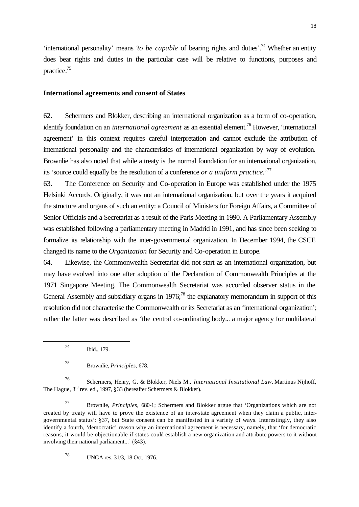'international personality' means '*to be capable* of bearing rights and duties'.<sup>74</sup> Whether an entity does bear rights and duties in the particular case will be relative to functions, purposes and practice.<sup>75</sup>

#### **International agreements and consent of States**

62. Schermers and Blokker, describing an international organization as a form of co-operation, identify foundation on an *international agreement* as an essential element.<sup>76</sup> However, 'international agreement' in this context requires careful interpretation and cannot exclude the attribution of international personality and the characteristics of international organization by way of evolution. Brownlie has also noted that while a treaty is the normal foundation for an international organization, its 'source could equally be the resolution of a conference *or a uniform practice.*' 77

63. The Conference on Security and Co-operation in Europe was established under the 1975 Helsinki Accords. Originally, it was not an international organization, but over the years it acquired the structure and organs of such an entity: a Council of Ministers for Foreign Affairs, a Committee of Senior Officials and a Secretariat as a result of the Paris Meeting in 1990. A Parliamentary Assembly was established following a parliamentary meeting in Madrid in 1991, and has since been seeking to formalize its relationship with the inter-governmental organization. In December 1994, the CSCE changed its name to the *Organization* for Security and Co-operation in Europe.

64. Likewise, the Commonwealth Secretariat did not start as an international organization, but may have evolved into one after adoption of the Declaration of Commonwealth Principles at the 1971 Singapore Meeting. The Commonwealth Secretariat was accorded observer status in the General Assembly and subsidiary organs in  $1976$ ;<sup>78</sup> the explanatory memorandum in support of this resolution did not characterise the Commonwealth or its Secretariat as an 'international organization'; rather the latter was described as 'the central co-ordinating body... a major agency for multilateral

l

<sup>78</sup> UNGA res. 31/3, 18 Oct. 1976.

<sup>74</sup> Ibid., 179.

<sup>75</sup> Brownlie, *Principles,* 678.

<sup>76</sup> Schermers, Henry, G. & Blokker, Niels M., *International Institutional Law,* Martinus Nijhoff, The Hague, 3<sup>rd</sup> rev. ed., 1997, §33 (hereafter Schermers & Blokker).

<sup>77</sup> Brownlie, *Principles,* 680-1; Schermers and Blokker argue that 'Organizations which are not created by treaty will have to prove the existence of an inter-state agreement when they claim a public, intergovernmental status': §37, but State consent can be manifested in a variety of ways. Interestingly, they also identify a fourth, 'democratic' reason why an international agreement is necessary, namely, that 'for democratic reasons, it would be objectionable if states could establish a new organization and attribute powers to it without involving their national parliament...' (§43).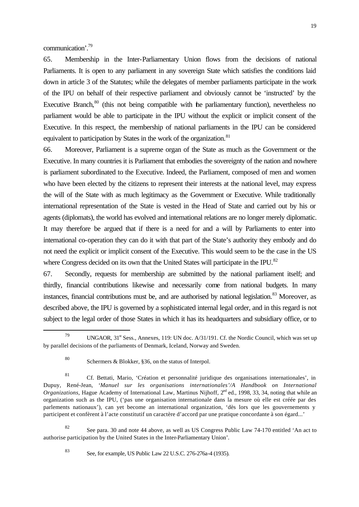communication'.<sup>79</sup>

65. Membership in the Inter-Parliamentary Union flows from the decisions of national Parliaments. It is open to any parliament in any sovereign State which satisfies the conditions laid down in article 3 of the Statutes; while the delegates of member parliaments participate in the work of the IPU on behalf of their respective parliament and obviously cannot be 'instructed' by the Executive Branch, $80$  (this not being compatible with the parliamentary function), nevertheless no parliament would be able to participate in the IPU without the explicit or implicit consent of the Executive. In this respect, the membership of national parliaments in the IPU can be considered equivalent to participation by States in the work of the organization. $81$ 

66. Moreover, Parliament is a supreme organ of the State as much as the Government or the Executive. In many countries it is Parliament that embodies the sovereignty of the nation and nowhere is parliament subordinated to the Executive. Indeed, the Parliament, composed of men and women who have been elected by the citizens to represent their interests at the national level, may express the will of the State with as much legitimacy as the Government or Executive. While traditionally international representation of the State is vested in the Head of State and carried out by his or agents (diplomats), the world has evolved and international relations are no longer merely diplomatic. It may therefore be argued that if there is a need for and a will by Parliaments to enter into international co-operation they can do it with that part of the State's authority they embody and do not need the explicit or implicit consent of the Executive. This would seem to be the case in the US where Congress decided on its own that the United States will participate in the IPU.<sup>82</sup>

67. Secondly, requests for membership are submitted by the national parliament itself; and thirdly, financial contributions likewise and necessarily come from national budgets. In many instances, financial contributions must be, and are authorised by national legislation.<sup>83</sup> Moreover, as described above, the IPU is governed by a sophisticated internal legal order, and in this regard is not subject to the legal order of those States in which it has its headquarters and subsidiary office, or to

82 See para. 30 and note 44 above, as well as US Congress Public Law 74-170 entitled 'An act to authorise participation by the United States in the Inter-Parliamentary Union'.

l

<sup>83</sup> See, for example, US Public Law 22 U.S.C. 276-276a-4 (1935).

UNGAOR,  $31<sup>st</sup> Sess.$ , Annexes, 119: UN doc. A/31/191. Cf. the Nordic Council, which was set up by parallel decisions of the parliaments of Denmark, Iceland, Norway and Sweden.

<sup>80</sup> Schermers & Blokker, §36, on the status of Interpol.

<sup>81</sup> Cf. Bettati, Mario, 'Création et personnalité juridique des organisations internationales', in Dupuy, René-Jean, '*Manuel sur les organisations internationales'/A Handbook on International Organizations,* Hague Academy of International Law, Martinus Nijhoff, 2<sup>nd</sup> ed., 1998, 33, 34, noting that while an organization such as the IPU, ('pas une organisation internationale dans la mesure où elle est créée par des parlements nationaux'), can yet become an international organization, 'dès lors que les gouvernements y participent et confèrent à l'acte constitutif un caractère d'accord par une pratique concordante à son égard...'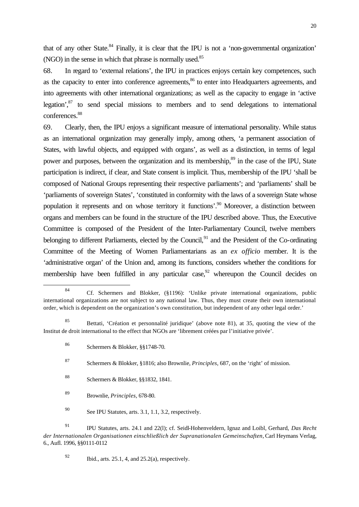that of any other State.<sup>84</sup> Finally, it is clear that the IPU is not a 'non-governmental organization' (NGO) in the sense in which that phrase is normally used.<sup>85</sup>

68. In regard to 'external relations', the IPU in practices enjoys certain key competences, such as the capacity to enter into conference agreements,<sup>86</sup> to enter into Headquarters agreements, and into agreements with other international organizations; as well as the capacity to engage in 'active legation', $87$  to send special missions to members and to send delegations to international conferences.<sup>88</sup>

69. Clearly, then, the IPU enjoys a significant measure of international personality. While status as an international organization may generally imply, among others, 'a permanent association of States, with lawful objects, and equipped with organs', as well as a distinction, in terms of legal power and purposes, between the organization and its membership,<sup>89</sup> in the case of the IPU, State participation is indirect, if clear, and State consent is implicit. Thus, membership of the IPU 'shall be composed of National Groups representing their respective parliaments'; and 'parliaments' shall be 'parliaments of sovereign States', 'constituted in conformity with the laws of a sovereign State whose population it represents and on whose territory it functions'.<sup>90</sup> Moreover, a distinction between organs and members can be found in the structure of the IPU described above. Thus, the Executive Committee is composed of the President of the Inter-Parliamentary Council, twelve members belonging to different Parliaments, elected by the Council,<sup>91</sup> and the President of the Co-ordinating Committee of the Meeting of Women Parliamentarians as an *ex officio* member. It is the 'administrative organ' of the Union and, among its functions, considers whether the conditions for membership have been fulfilled in any particular case,  $92$  whereupon the Council decides on

<sup>87</sup> Schermers & Blokker, §1816; also Brownlie, *Principles,* 687, on the 'right' of mission.

- <sup>88</sup> Schermers & Blokker, §§1832, 1841.
- <sup>89</sup> Brownlie, *Principles,* 678-80.

<sup>90</sup> See IPU Statutes, arts. 3.1, 1.1, 3.2, respectively.

<sup>91</sup> IPU Statutes, arts. 24.1 and 22(l); cf. Seidl-Hohenveldern, Ignaz and Loibl, Gerhard, *Das Recht der Internationalen Organisationen einschließlich der Supranationalen Gemeinschaften,* Carl Heymans Verlag, 6., Aufl. 1996, §§0111-0112

l

 $92$  Ibid., arts. 25.1, 4, and 25.2(a), respectively.

<sup>84</sup> Cf. Schermers and Blokker, (§1196): 'Unlike private international organizations, public international organizations are not subject to any national law. Thus, they must create their own international order, which is dependent on the organization's own constitution, but independent of any other legal order.'

<sup>85</sup> Bettati, 'Création et personnalité juridique' (above note 81), at 35, quoting the view of the Institut de droit international to the effect that NGOs are 'librement créées par l'initiative privée'.

<sup>86</sup> Schermers & Blokker, §§1748-70.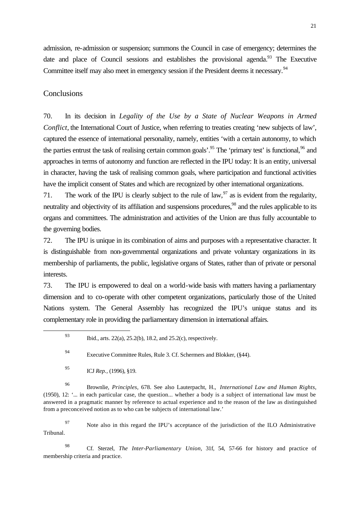admission, re-admission or suspension; summons the Council in case of emergency; determines the date and place of Council sessions and establishes the provisional agenda.<sup>93</sup> The Executive Committee itself may also meet in emergency session if the President deems it necessary.<sup>94</sup>

#### **Conclusions**

70. In its decision in *Legality of the Use by a State of Nuclear Weapons in Armed Conflict*, the International Court of Justice, when referring to treaties creating 'new subjects of law', captured the essence of international personality, namely, entities 'with a certain autonomy, to which the parties entrust the task of realising certain common goals'.<sup>95</sup> The 'primary test' is functional,  $96$  and approaches in terms of autonomy and function are reflected in the IPU today: It is an entity, universal in character, having the task of realising common goals, where participation and functional activities have the implicit consent of States and which are recognized by other international organizations.

71. The work of the IPU is clearly subject to the rule of law,  $97$  as is evident from the regularity, neutrality and objectivity of its affiliation and suspensions procedures,<sup>98</sup> and the rules applicable to its organs and committees. The administration and activities of the Union are thus fully accountable to the governing bodies.

72. The IPU is unique in its combination of aims and purposes with a representative character. It is distinguishable from non-governmental organizations and private voluntary organizations in its membership of parliaments, the public, legislative organs of States, rather than of private or personal interests.

73. The IPU is empowered to deal on a world-wide basis with matters having a parliamentary dimension and to co-operate with other competent organizations, particularly those of the United Nations system. The General Assembly has recognized the IPU's unique status and its complementary role in providing the parliamentary dimension in international affairs.

l

<sup>96</sup> Brownlie, *Principles,* 678. See also Lauterpacht, H., *International Law and Human Rights,* (1950), 12: '... in each particular case, the question... whether a body is a subject of international law must be answered in a pragmatic manner by reference to actual experience and to the reason of the law as distinguished from a preconceived notion as to who can be subjects of international law.'

<sup>97</sup> Note also in this regard the IPU's acceptance of the jurisdiction of the ILO Administrative Tribunal.

<sup>98</sup> Cf. Sterzel, *The Inter-Parliamentary Union,* 31f, 54, 57-66 for history and practice of membership criteria and practice.

<sup>93</sup> Ibid., arts. 22(a), 25.2(b), 18.2, and 25.2(c), respectively.

<sup>94</sup> Executive Committee Rules, Rule 3. Cf. Schermers and Blokker, (§44).

<sup>95</sup> ICJ *Rep.,* (1996), §19.